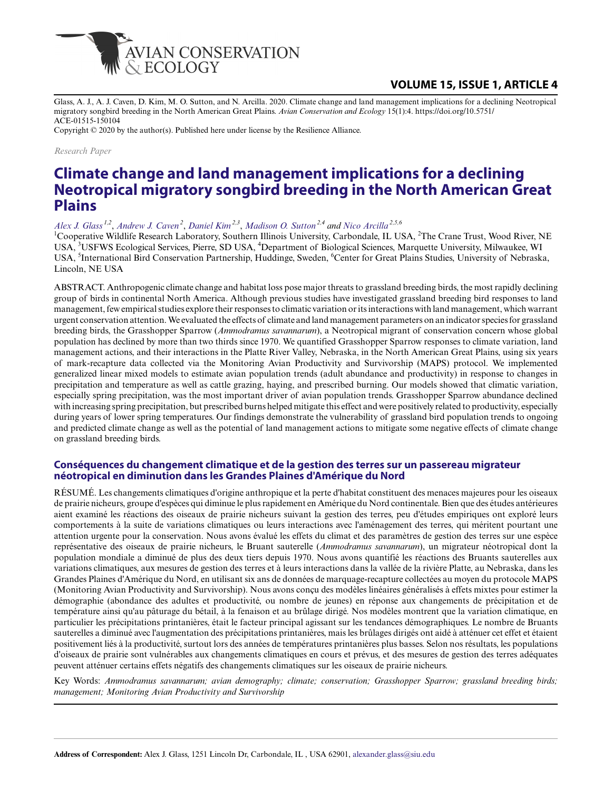

## **VOLUME 15, ISSUE 1, ARTICLE 4**

Glass, A. J., A. J. Caven, D. Kim, M. O. Sutton, and N. Arcilla. 2020. Climate change and land management implications for a declining Neotropical migratory songbird breeding in the North American Great Plains. *Avian Conservation and Ecology* 15(1):4. https://doi.org/10.5751/ ACE-01515-150104

Copyright © 2020 by the author(s). Published here under license by the Resilience Alliance.

*Research Paper*

# **Climate change and land management implications for a declining Neotropical migratory songbird breeding in the North American Great Plains**

*[Alex J. Glass](mailto:alexander.glass@siu.edu) 1,2* , *[Andrew J. Caven](mailto:acaven@cranetrust.org)<sup>2</sup>* , *[Daniel Kim](mailto:texraptor@hotmail.com) 2,3* , *[Madison O. Sutton](mailto:madisonosutton@gmail.com) 2,4 and [Nico Arcilla](mailto:nico.arcilla@aya.yale.edu) 2,5,6*

<sup>1</sup>Cooperative Wildlife Research Laboratory, Southern Illinois University, Carbondale, IL USA, <sup>2</sup>The Crane Trust, Wood River, NE USA, <sup>3</sup>USFWS Ecological Services, Pierre, SD USA, <sup>4</sup>Department of Biological Sciences, Marquette University, Milwaukee, WI USA, <sup>5</sup>International Bird Conservation Partnership, Huddinge, Sweden, <sup>6</sup>Center for Great Plains Studies, University of Nebraska, Lincoln, NE USA

ABSTRACT. Anthropogenic climate change and habitat loss pose major threats to grassland breeding birds, the most rapidly declining group of birds in continental North America. Although previous studies have investigated grassland breeding bird responses to land management, few empirical studies explore their responses to climatic variation or its interactions with land management, which warrant urgent conservation attention. We evaluated the effects of climate and land management parameters on an indicator species for grassland breeding birds, the Grasshopper Sparrow (*Ammodramus savannarum*), a Neotropical migrant of conservation concern whose global population has declined by more than two thirds since 1970. We quantified Grasshopper Sparrow responses to climate variation, land management actions, and their interactions in the Platte River Valley, Nebraska, in the North American Great Plains, using six years of mark-recapture data collected via the Monitoring Avian Productivity and Survivorship (MAPS) protocol. We implemented generalized linear mixed models to estimate avian population trends (adult abundance and productivity) in response to changes in precipitation and temperature as well as cattle grazing, haying, and prescribed burning. Our models showed that climatic variation, especially spring precipitation, was the most important driver of avian population trends. Grasshopper Sparrow abundance declined with increasing spring precipitation, but prescribed burns helped mitigate this effect and were positively related to productivity, especially during years of lower spring temperatures. Our findings demonstrate the vulnerability of grassland bird population trends to ongoing and predicted climate change as well as the potential of land management actions to mitigate some negative effects of climate change on grassland breeding birds.

#### **Conséquences du changement climatique et de la gestion des terres sur un passereau migrateur néotropical en diminution dans les Grandes Plaines d'Amérique du Nord**

RÉSUMÉ. Les changements climatiques d'origine anthropique et la perte d'habitat constituent des menaces majeures pour les oiseaux de prairie nicheurs, groupe d'espèces qui diminue le plus rapidement en Amérique du Nord continentale. Bien que des études antérieures aient examiné les réactions des oiseaux de prairie nicheurs suivant la gestion des terres, peu d'études empiriques ont exploré leurs comportements à la suite de variations climatiques ou leurs interactions avec l'aménagement des terres, qui méritent pourtant une attention urgente pour la conservation. Nous avons évalué les effets du climat et des paramètres de gestion des terres sur une espèce représentative des oiseaux de prairie nicheurs, le Bruant sauterelle (*Ammodramus savannarum*), un migrateur néotropical dont la population mondiale a diminué de plus des deux tiers depuis 1970. Nous avons quantifié les réactions des Bruants sauterelles aux variations climatiques, aux mesures de gestion des terres et à leurs interactions dans la vallée de la rivière Platte, au Nebraska, dans les Grandes Plaines d'Amérique du Nord, en utilisant six ans de données de marquage-recapture collectées au moyen du protocole MAPS (Monitoring Avian Productivity and Survivorship). Nous avons conçu des modèles linéaires généralisés à effets mixtes pour estimer la démographie (abondance des adultes et productivité, ou nombre de jeunes) en réponse aux changements de précipitation et de température ainsi qu'au pâturage du bétail, à la fenaison et au brûlage dirigé. Nos modèles montrent que la variation climatique, en particulier les précipitations printanières, était le facteur principal agissant sur les tendances démographiques. Le nombre de Bruants sauterelles a diminué avec l'augmentation des précipitations printanières, mais les brûlages dirigés ont aidé à atténuer cet effet et étaient positivement liés à la productivité, surtout lors des années de températures printanières plus basses. Selon nos résultats, les populations d'oiseaux de prairie sont vulnérables aux changements climatiques en cours et prévus, et des mesures de gestion des terres adéquates peuvent atténuer certains effets négatifs des changements climatiques sur les oiseaux de prairie nicheurs.

Key Words: *Ammodramus savannarum; avian demography; climate; conservation; Grasshopper Sparrow; grassland breeding birds; management; Monitoring Avian Productivity and Survivorship*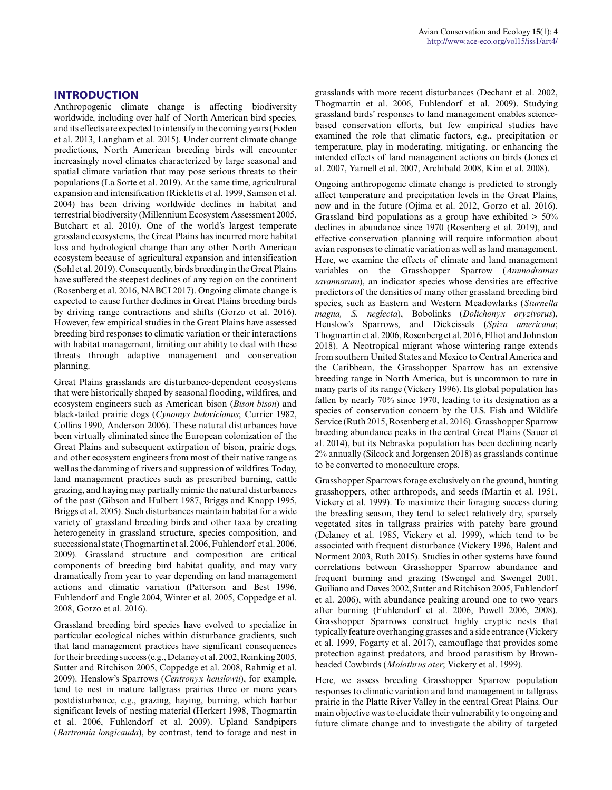#### **INTRODUCTION**

Anthropogenic climate change is affecting biodiversity worldwide, including over half of North American bird species, and its effects are expected to intensify in the coming years (Foden et al. 2013, Langham et al. 2015). Under current climate change predictions, North American breeding birds will encounter increasingly novel climates characterized by large seasonal and spatial climate variation that may pose serious threats to their populations (La Sorte et al. 2019). At the same time, agricultural expansion and intensification (Rickletts et al. 1999, Samson et al. 2004) has been driving worldwide declines in habitat and terrestrial biodiversity (Millennium Ecosystem Assessment 2005, Butchart et al. 2010). One of the world's largest temperate grassland ecosystems, the Great Plains has incurred more habitat loss and hydrological change than any other North American ecosystem because of agricultural expansion and intensification (Sohl et al. 2019). Consequently, birds breeding in the Great Plains have suffered the steepest declines of any region on the continent (Rosenberg et al. 2016, NABCI 2017). Ongoing climate change is expected to cause further declines in Great Plains breeding birds by driving range contractions and shifts (Gorzo et al. 2016). However, few empirical studies in the Great Plains have assessed breeding bird responses to climatic variation or their interactions with habitat management, limiting our ability to deal with these threats through adaptive management and conservation planning.

Great Plains grasslands are disturbance-dependent ecosystems that were historically shaped by seasonal flooding, wildfires, and ecosystem engineers such as American bison (*Bison bison*) and black-tailed prairie dogs (*Cynomys ludovicianus*; Currier 1982, Collins 1990, Anderson 2006). These natural disturbances have been virtually eliminated since the European colonization of the Great Plains and subsequent extirpation of bison, prairie dogs, and other ecosystem engineers from most of their native range as well as the damming of rivers and suppression of wildfires. Today, land management practices such as prescribed burning, cattle grazing, and haying may partially mimic the natural disturbances of the past (Gibson and Hulbert 1987, Briggs and Knapp 1995, Briggs et al. 2005). Such disturbances maintain habitat for a wide variety of grassland breeding birds and other taxa by creating heterogeneity in grassland structure, species composition, and successional state (Thogmartin et al. 2006, Fuhlendorf et al. 2006, 2009). Grassland structure and composition are critical components of breeding bird habitat quality, and may vary dramatically from year to year depending on land management actions and climatic variation (Patterson and Best 1996, Fuhlendorf and Engle 2004, Winter et al. 2005, Coppedge et al. 2008, Gorzo et al. 2016).

Grassland breeding bird species have evolved to specialize in particular ecological niches within disturbance gradients, such that land management practices have significant consequences for their breeding success (e.g., Delaney et al. 2002, Reinking 2005, Sutter and Ritchison 2005, Coppedge et al. 2008, Rahmig et al. 2009). Henslow's Sparrows (*Centronyx henslowii*), for example, tend to nest in mature tallgrass prairies three or more years postdisturbance, e.g., grazing, haying, burning, which harbor significant levels of nesting material (Herkert 1998, Thogmartin et al. 2006, Fuhlendorf et al. 2009). Upland Sandpipers (*Bartramia longicauda*), by contrast, tend to forage and nest in

grasslands with more recent disturbances (Dechant et al. 2002, Thogmartin et al. 2006, Fuhlendorf et al. 2009). Studying grassland birds' responses to land management enables sciencebased conservation efforts, but few empirical studies have examined the role that climatic factors, e.g., precipitation or temperature, play in moderating, mitigating, or enhancing the intended effects of land management actions on birds (Jones et al. 2007, Yarnell et al. 2007, Archibald 2008, Kim et al. 2008).

Ongoing anthropogenic climate change is predicted to strongly affect temperature and precipitation levels in the Great Plains, now and in the future (Ojima et al. 2012, Gorzo et al. 2016). Grassland bird populations as a group have exhibited  $> 50\%$ declines in abundance since 1970 (Rosenberg et al. 2019), and effective conservation planning will require information about avian responses to climatic variation as well as land management. Here, we examine the effects of climate and land management variables on the Grasshopper Sparrow (*Ammodramus savannarum*), an indicator species whose densities are effective predictors of the densities of many other grassland breeding bird species, such as Eastern and Western Meadowlarks (*Sturnella magna, S. neglecta*), Bobolinks (*Dolichonyx oryzivorus*), Henslow's Sparrows, and Dickcissels (*Spiza americana*; Thogmartin et al. 2006, Rosenberg et al. 2016, Elliot and Johnston 2018). A Neotropical migrant whose wintering range extends from southern United States and Mexico to Central America and the Caribbean, the Grasshopper Sparrow has an extensive breeding range in North America, but is uncommon to rare in many parts of its range (Vickery 1996). Its global population has fallen by nearly 70% since 1970, leading to its designation as a species of conservation concern by the U.S. Fish and Wildlife Service (Ruth 2015, Rosenberg et al. 2016). Grasshopper Sparrow breeding abundance peaks in the central Great Plains (Sauer et al. 2014), but its Nebraska population has been declining nearly 2% annually (Silcock and Jorgensen 2018) as grasslands continue to be converted to monoculture crops.

Grasshopper Sparrows forage exclusively on the ground, hunting grasshoppers, other arthropods, and seeds (Martin et al. 1951, Vickery et al. 1999). To maximize their foraging success during the breeding season, they tend to select relatively dry, sparsely vegetated sites in tallgrass prairies with patchy bare ground (Delaney et al. 1985, Vickery et al. 1999), which tend to be associated with frequent disturbance (Vickery 1996, Balent and Norment 2003, Ruth 2015). Studies in other systems have found correlations between Grasshopper Sparrow abundance and frequent burning and grazing (Swengel and Swengel 2001, Guiliano and Daves 2002, Sutter and Ritchison 2005, Fuhlendorf et al. 2006), with abundance peaking around one to two years after burning (Fuhlendorf et al. 2006, Powell 2006, 2008). Grasshopper Sparrows construct highly cryptic nests that typically feature overhanging grasses and a side entrance (Vickery et al. 1999, Fogarty et al. 2017), camouflage that provides some protection against predators, and brood parasitism by Brownheaded Cowbirds (*Molothrus ater*; Vickery et al. 1999).

Here, we assess breeding Grasshopper Sparrow population responses to climatic variation and land management in tallgrass prairie in the Platte River Valley in the central Great Plains. Our main objective was to elucidate their vulnerability to ongoing and future climate change and to investigate the ability of targeted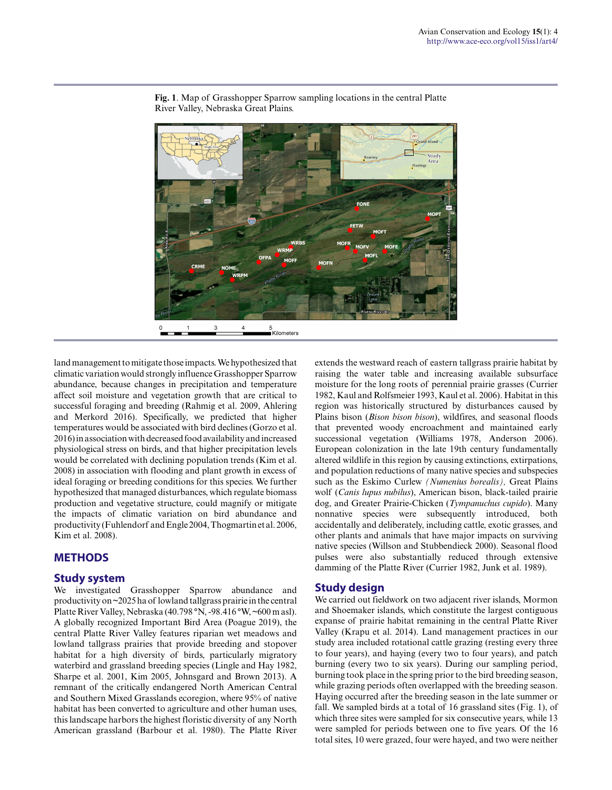

**Fig. 1**. Map of Grasshopper Sparrow sampling locations in the central Platte River Valley, Nebraska Great Plains.

land management to mitigate those impacts. We hypothesized that climatic variation would strongly influence Grasshopper Sparrow abundance, because changes in precipitation and temperature affect soil moisture and vegetation growth that are critical to successful foraging and breeding (Rahmig et al. 2009, Ahlering and Merkord 2016). Specifically, we predicted that higher temperatures would be associated with bird declines (Gorzo et al. 2016) in association with decreased food availability and increased physiological stress on birds, and that higher precipitation levels would be correlated with declining population trends (Kim et al. 2008) in association with flooding and plant growth in excess of ideal foraging or breeding conditions for this species. We further hypothesized that managed disturbances, which regulate biomass production and vegetative structure, could magnify or mitigate the impacts of climatic variation on bird abundance and productivity (Fuhlendorf and Engle 2004, Thogmartin et al. 2006, Kim et al. 2008).

## **METHODS**

#### **Study system**

We investigated Grasshopper Sparrow abundance and productivity on ~2025 ha of lowland tallgrass prairie in the central Platte River Valley, Nebraska (40.798 °N, -98.416 °W, ~600 m asl). A globally recognized Important Bird Area (Poague 2019), the central Platte River Valley features riparian wet meadows and lowland tallgrass prairies that provide breeding and stopover habitat for a high diversity of birds, particularly migratory waterbird and grassland breeding species (Lingle and Hay 1982, Sharpe et al. 2001, Kim 2005, Johnsgard and Brown 2013). A remnant of the critically endangered North American Central and Southern Mixed Grasslands ecoregion, where 95% of native habitat has been converted to agriculture and other human uses, this landscape harbors the highest floristic diversity of any North American grassland (Barbour et al. 1980). The Platte River extends the westward reach of eastern tallgrass prairie habitat by raising the water table and increasing available subsurface moisture for the long roots of perennial prairie grasses (Currier 1982, Kaul and Rolfsmeier 1993, Kaul et al. 2006). Habitat in this region was historically structured by disturbances caused by Plains bison (*Bison bison bison*), wildfires, and seasonal floods that prevented woody encroachment and maintained early successional vegetation (Williams 1978, Anderson 2006). European colonization in the late 19th century fundamentally altered wildlife in this region by causing extinctions, extirpations, and population reductions of many native species and subspecies such as the Eskimo Curlew *(Numenius borealis),* Great Plains wolf (*Canis lupus nubilus*), American bison, black-tailed prairie dog, and Greater Prairie-Chicken (*Tympanuchus cupido*). Many nonnative species were subsequently introduced, both accidentally and deliberately, including cattle, exotic grasses, and other plants and animals that have major impacts on surviving native species (Willson and Stubbendieck 2000). Seasonal flood pulses were also substantially reduced through extensive damming of the Platte River (Currier 1982, Junk et al. 1989).

#### **Study design**

We carried out fieldwork on two adjacent river islands, Mormon and Shoemaker islands, which constitute the largest contiguous expanse of prairie habitat remaining in the central Platte River Valley (Krapu et al. 2014). Land management practices in our study area included rotational cattle grazing (resting every three to four years), and haying (every two to four years), and patch burning (every two to six years). During our sampling period, burning took place in the spring prior to the bird breeding season, while grazing periods often overlapped with the breeding season. Haying occurred after the breeding season in the late summer or fall. We sampled birds at a total of 16 grassland sites (Fig. 1), of which three sites were sampled for six consecutive years, while 13 were sampled for periods between one to five years. Of the 16 total sites, 10 were grazed, four were hayed, and two were neither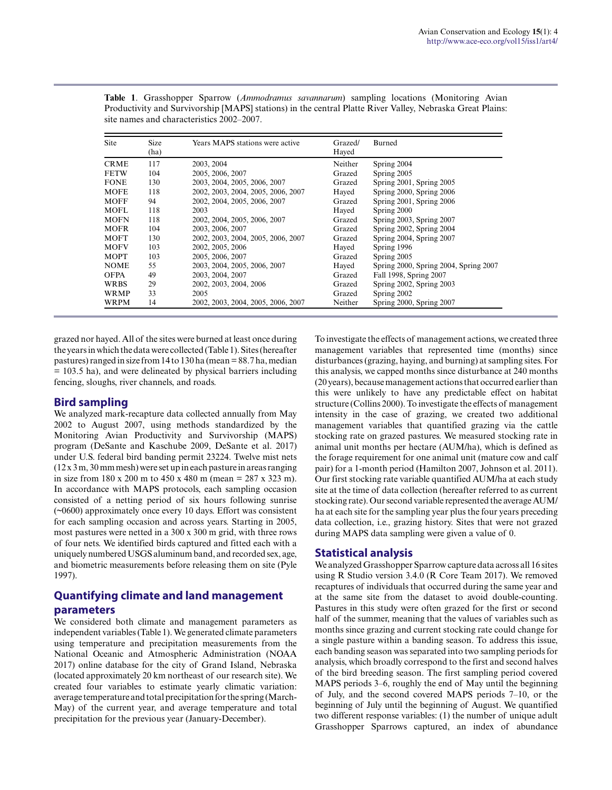| <b>Site</b> | <b>Size</b><br>(ha) | Years MAPS stations were active    | Grazed/<br>Hayed | Burned                                |
|-------------|---------------------|------------------------------------|------------------|---------------------------------------|
|             |                     |                                    |                  |                                       |
| <b>CRME</b> | 117                 | 2003, 2004                         | Neither          | Spring 2004                           |
| <b>FETW</b> | 104                 | 2005, 2006, 2007                   | Grazed           | Spring 2005                           |
| <b>FONE</b> | 130                 | 2003, 2004, 2005, 2006, 2007       | Grazed           | Spring 2001, Spring 2005              |
| <b>MOFE</b> | 118                 | 2002, 2003, 2004, 2005, 2006, 2007 | Hayed            | Spring 2000, Spring 2006              |
| <b>MOFF</b> | 94                  | 2002, 2004, 2005, 2006, 2007       | Grazed           | Spring 2001, Spring 2006              |
| MOFL        | 118                 | 2003                               | Hayed            | Spring 2000                           |
| <b>MOFN</b> | 118                 | 2002, 2004, 2005, 2006, 2007       | Grazed           | Spring 2003, Spring 2007              |
| <b>MOFR</b> | 104                 | 2003, 2006, 2007                   | Grazed           | Spring 2002, Spring 2004              |
| <b>MOFT</b> | 130                 | 2002, 2003, 2004, 2005, 2006, 2007 | Grazed           | Spring 2004, Spring 2007              |
| <b>MOFV</b> | 103                 | 2002, 2005, 2006                   | Hayed            | Spring 1996                           |
| <b>MOPT</b> | 103                 | 2005, 2006, 2007                   | Grazed           | Spring 2005                           |
| <b>NOME</b> | 55                  | 2003, 2004, 2005, 2006, 2007       | Hayed            | Spring 2000, Spring 2004, Spring 2007 |
| <b>OFPA</b> | 49                  | 2003, 2004, 2007                   | Grazed           | Fall 1998, Spring 2007                |
| <b>WRBS</b> | 29                  | 2002, 2003, 2004, 2006             | Grazed           | Spring 2002, Spring 2003              |
| <b>WRMP</b> | 33                  | 2005                               | Grazed           | Spring 2002                           |
| <b>WRPM</b> | 14                  | 2002, 2003, 2004, 2005, 2006, 2007 | Neither          | Spring 2000, Spring 2007              |

**Table 1**. Grasshopper Sparrow (*Ammodramus savannarum*) sampling locations (Monitoring Avian Productivity and Survivorship [MAPS] stations) in the central Platte River Valley, Nebraska Great Plains: site names and characteristics 2002–2007.

grazed nor hayed. All of the sites were burned at least once during the years in which the data were collected (Table 1). Sites (hereafter pastures) ranged in size from 14 to 130 ha (mean = 88.7 ha, median = 103.5 ha), and were delineated by physical barriers including fencing, sloughs, river channels, and roads.

## **Bird sampling**

We analyzed mark-recapture data collected annually from May 2002 to August 2007, using methods standardized by the Monitoring Avian Productivity and Survivorship (MAPS) program (DeSante and Kaschube 2009, DeSante et al. 2017) under U.S. federal bird banding permit 23224. Twelve mist nets (12 x 3 m, 30 mm mesh) were set up in each pasture in areas ranging in size from 180 x 200 m to 450 x 480 m (mean = 287 x 323 m). In accordance with MAPS protocols, each sampling occasion consisted of a netting period of six hours following sunrise (~0600) approximately once every 10 days. Effort was consistent for each sampling occasion and across years. Starting in 2005, most pastures were netted in a 300 x 300 m grid, with three rows of four nets. We identified birds captured and fitted each with a uniquely numbered USGS aluminum band, and recorded sex, age, and biometric measurements before releasing them on site (Pyle 1997).

## **Quantifying climate and land management parameters**

We considered both climate and management parameters as independent variables (Table 1). We generated climate parameters using temperature and precipitation measurements from the National Oceanic and Atmospheric Administration (NOAA 2017) online database for the city of Grand Island, Nebraska (located approximately 20 km northeast of our research site). We created four variables to estimate yearly climatic variation: average temperature and total precipitation for the spring (March-May) of the current year, and average temperature and total precipitation for the previous year (January-December).

To investigate the effects of management actions, we created three management variables that represented time (months) since disturbances (grazing, haying, and burning) at sampling sites. For this analysis, we capped months since disturbance at 240 months (20 years), because management actions that occurred earlier than this were unlikely to have any predictable effect on habitat structure (Collins 2000). To investigate the effects of management intensity in the case of grazing, we created two additional management variables that quantified grazing via the cattle stocking rate on grazed pastures. We measured stocking rate in animal unit months per hectare (AUM/ha), which is defined as the forage requirement for one animal unit (mature cow and calf pair) for a 1-month period (Hamilton 2007, Johnson et al. 2011). Our first stocking rate variable quantified AUM/ha at each study site at the time of data collection (hereafter referred to as current stocking rate). Our second variable represented the average AUM/ ha at each site for the sampling year plus the four years preceding data collection, i.e., grazing history. Sites that were not grazed during MAPS data sampling were given a value of 0.

## **Statistical analysis**

We analyzed Grasshopper Sparrow capture data across all 16 sites using R Studio version 3.4.0 (R Core Team 2017). We removed recaptures of individuals that occurred during the same year and at the same site from the dataset to avoid double-counting. Pastures in this study were often grazed for the first or second half of the summer, meaning that the values of variables such as months since grazing and current stocking rate could change for a single pasture within a banding season. To address this issue, each banding season was separated into two sampling periods for analysis, which broadly correspond to the first and second halves of the bird breeding season. The first sampling period covered MAPS periods 3–6, roughly the end of May until the beginning of July, and the second covered MAPS periods 7–10, or the beginning of July until the beginning of August. We quantified two different response variables: (1) the number of unique adult Grasshopper Sparrows captured, an index of abundance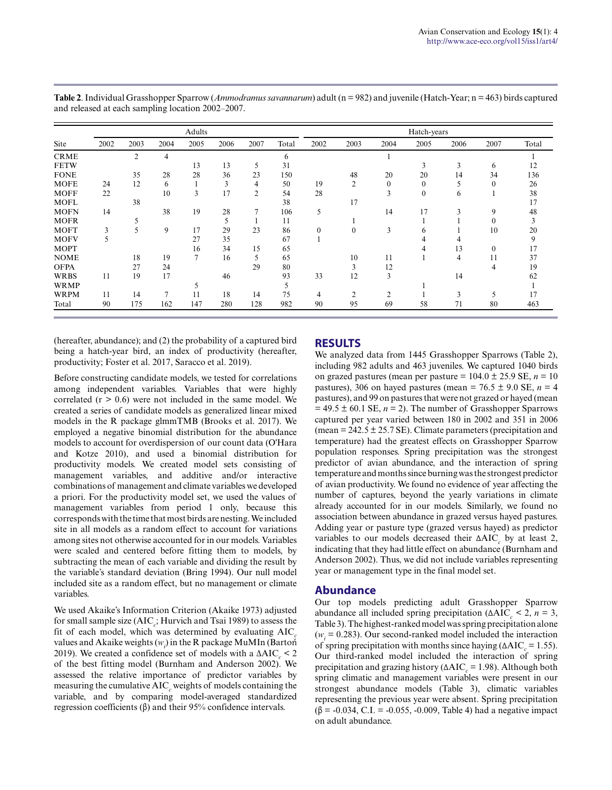|             | Adults |      |      |                |      |                | Hatch-years |              |                |                  |              |      |              |       |
|-------------|--------|------|------|----------------|------|----------------|-------------|--------------|----------------|------------------|--------------|------|--------------|-------|
| Site        | 2002   | 2003 | 2004 | 2005           | 2006 | 2007           | Total       | 2002         | 2003           | 2004             | 2005         | 2006 | 2007         | Total |
| <b>CRME</b> |        | 2    | 4    |                |      |                | 6           |              |                |                  |              |      |              |       |
| <b>FETW</b> |        |      |      | 13             | 13   | 5              | 31          |              |                |                  | 3            | 3    | 6            | 12    |
| <b>FONE</b> |        | 35   | 28   | 28             | 36   | 23             | 150         |              | 48             | 20               | 20           | 14   | 34           | 136   |
| <b>MOFE</b> | 24     | 12   | 6    |                | 3    | 4              | 50          | 19           | $\overline{2}$ | $\boldsymbol{0}$ | $\theta$     | 5    | $\mathbf{0}$ | 26    |
| <b>MOFF</b> | 22     |      | 10   | 3              | 17   | $\overline{2}$ | 54          | 28           |                | 3                | $\mathbf{0}$ | 6    |              | 38    |
| <b>MOFL</b> |        | 38   |      |                |      |                | 38          |              | 17             |                  |              |      |              | 17    |
| <b>MOFN</b> | 14     |      | 38   | 19             | 28   | 7              | 106         | 5            |                | 14               | 17           | 3    | 9            | 48    |
| <b>MOFR</b> |        |      |      |                | 5    |                | 11          |              |                |                  |              |      | $\theta$     | 3     |
| <b>MOFT</b> | 3      | 5    | 9    | 17             | 29   | 23             | 86          | $\mathbf{0}$ | $\mathbf{0}$   | 3                | <sub>(</sub> |      | 10           | 20    |
| <b>MOFV</b> | 5      |      |      | 27             | 35   |                | 67          |              |                |                  | 4            | 4    |              | 9     |
| <b>MOPT</b> |        |      |      | 16             | 34   | 15             | 65          |              |                |                  |              | 13   | $\mathbf{0}$ | 17    |
| <b>NOME</b> |        | 18   | 19   | $\overline{7}$ | 16   | 5              | 65          |              | 10             | 11               |              | 4    | 11           | 37    |
| <b>OFPA</b> |        | 27   | 24   |                |      | 29             | 80          |              | 3              | 12               |              |      | 4            | 19    |
| <b>WRBS</b> | 11     | 19   | 17   |                | 46   |                | 93          | 33           | 12             | 3                |              | 14   |              | 62    |
| <b>WRMP</b> |        |      |      |                |      |                | 5           |              |                |                  |              |      |              |       |
| <b>WRPM</b> | 11     | 14   | 7    | 11             | 18   | 14             | 75          | 4            | $\overline{2}$ | 2                |              | 3    | 5            | 17    |
| Total       | 90     | 175  | 162  | 147            | 280  | 128            | 982         | 90           | 95             | 69               | 58           | 71   | 80           | 463   |

Table 2. Individual Grasshopper Sparrow (*Ammodramus savannarum*) adult (n = 982) and juvenile (Hatch-Year; n = 463) birds captured and released at each sampling location 2002–2007.

(hereafter, abundance); and (2) the probability of a captured bird being a hatch-year bird, an index of productivity (hereafter, productivity; Foster et al. 2017, Saracco et al. 2019).

Before constructing candidate models, we tested for correlations among independent variables. Variables that were highly correlated  $(r > 0.6)$  were not included in the same model. We created a series of candidate models as generalized linear mixed models in the R package glmmTMB (Brooks et al. 2017). We employed a negative binomial distribution for the abundance models to account for overdispersion of our count data (O'Hara and Kotze 2010), and used a binomial distribution for productivity models. We created model sets consisting of management variables, and additive and/or interactive combinations of management and climate variables we developed a priori. For the productivity model set, we used the values of management variables from period 1 only, because this corresponds with the time that most birds are nesting. We included site in all models as a random effect to account for variations among sites not otherwise accounted for in our models. Variables were scaled and centered before fitting them to models, by subtracting the mean of each variable and dividing the result by the variable's standard deviation (Bring 1994). Our null model included site as a random effect, but no management or climate variables.

We used Akaike's Information Criterion (Akaike 1973) adjusted for small sample size (AIC<sub>c</sub>; Hurvich and Tsai 1989) to assess the fit of each model, which was determined by evaluating AIC*<sup>c</sup>* values and Akaike weights (*w<sup>i</sup>* ) in the R package MuMIn (Bartoń 2019). We created a confidence set of models with a  $\Delta AIC_c < 2$ of the best fitting model (Burnham and Anderson 2002). We assessed the relative importance of predictor variables by measuring the cumulative AIC<sub>c</sub> weights of models containing the variable, and by comparing model-averaged standardized regression coefficients (β) and their 95% confidence intervals.

#### **RESULTS**

We analyzed data from 1445 Grasshopper Sparrows (Table 2), including 982 adults and 463 juveniles. We captured 1040 birds on grazed pastures (mean per pasture  $= 104.0 \pm 25.9$  SE,  $n = 10$ pastures), 306 on hayed pastures (mean =  $76.5 \pm 9.0$  SE,  $n = 4$ pastures), and 99 on pastures that were not grazed or hayed (mean  $= 49.5 \pm 60.1$  SE,  $n = 2$ ). The number of Grasshopper Sparrows captured per year varied between 180 in 2002 and 351 in 2006 (mean =  $242.5 \pm 25.7$  SE). Climate parameters (precipitation and temperature) had the greatest effects on Grasshopper Sparrow population responses. Spring precipitation was the strongest predictor of avian abundance, and the interaction of spring temperature and months since burning was the strongest predictor of avian productivity. We found no evidence of year affecting the number of captures, beyond the yearly variations in climate already accounted for in our models. Similarly, we found no association between abundance in grazed versus hayed pastures. Adding year or pasture type (grazed versus hayed) as predictor variables to our models decreased their  $\triangle AIC_c$  by at least 2, indicating that they had little effect on abundance (Burnham and Anderson 2002). Thus, we did not include variables representing year or management type in the final model set.

#### **Abundance**

Our top models predicting adult Grasshopper Sparrow abundance all included spring precipitation ( $\triangle AIC_c < 2$ ,  $n = 3$ , Table 3). The highest-ranked model was spring precipitation alone  $(w<sub>i</sub> = 0.283)$ . Our second-ranked model included the interaction of spring precipitation with months since haying  $(\Delta AIC_c = 1.55)$ . Our third-ranked model included the interaction of spring precipitation and grazing history (ΔAIC<sub>*c*</sub> = 1.98). Although both spring climatic and management variables were present in our strongest abundance models (Table 3), climatic variables representing the previous year were absent. Spring precipitation  $(\beta = -0.034, C.I. = -0.055, -0.009,$  Table 4) had a negative impact on adult abundance.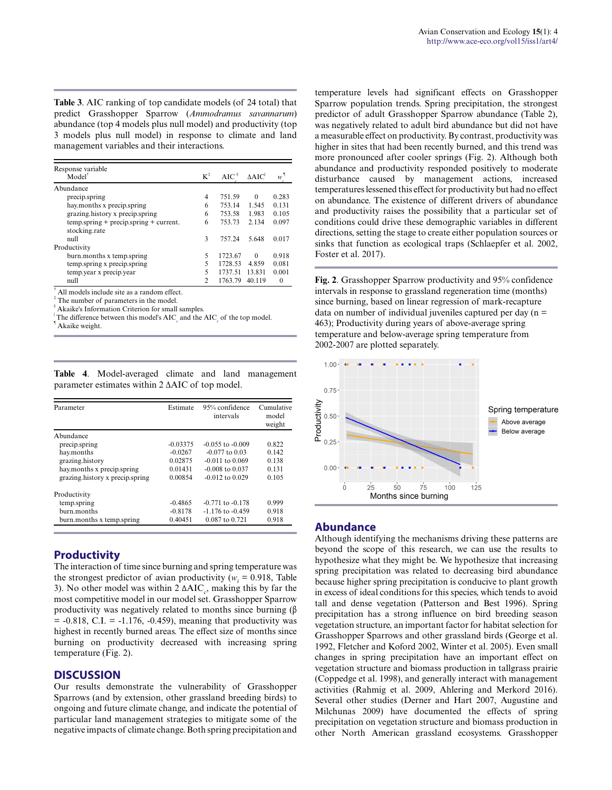**Table 3**. AIC ranking of top candidate models (of 24 total) that predict Grasshopper Sparrow (*Ammodramus savannarum*) abundance (top 4 models plus null model) and productivity (top 3 models plus null model) in response to climate and land management variables and their interactions.

| Response variable                                          |                |         |                 |          |
|------------------------------------------------------------|----------------|---------|-----------------|----------|
| $Model^{\dagger}$                                          | $K^{\ddagger}$ | $AIC^S$ | $\triangle AIC$ | w        |
| Abundance                                                  |                |         |                 |          |
| precip.spring                                              | 4              | 751.59  | $\Omega$        | 0.283    |
| hay months x precip.spring                                 | 6              | 753.14  | 1.545           | 0.131    |
| grazing history x precip spring                            | 6              | 753.58  | 1.983           | 0.105    |
| $temp.springframework + precip.springframework + current.$ | 6              | 753.73  | 2.134           | 0.097    |
| stocking.rate                                              |                |         |                 |          |
| null                                                       | 3              | 757.24  | 5.648           | 0.017    |
| Productivity                                               |                |         |                 |          |
| burn.months x temp.spring                                  | 5              | 1723.67 | $\Omega$        | 0.918    |
| temp.spring x precip.spring                                | 5              | 1728.53 | 4.859           | 0.081    |
| temp year x precip year                                    | 5              | 1737.51 | 13.831          | 0.001    |
| null<br>a.                                                 | $\mathfrak{D}$ | 1763.79 | 40.119          | $\Omega$ |

† All models include site as a random effect.

‡ The number of parameters in the model.

§ Akaike's Information Criterion for small samples.

The difference between this model's  $AIC_c$  and the  $AIC_c$  of the top model.

¶ Akaike weight.

|  | Table 4. Model-averaged climate and land management        |  |  |
|--|------------------------------------------------------------|--|--|
|  | parameter estimates within $2 \triangle AIC$ of top model. |  |  |

| Parameter                       | Estimate   | 95% confidence<br>intervals | Cumulative<br>model<br>weight |
|---------------------------------|------------|-----------------------------|-------------------------------|
| Abundance                       |            |                             |                               |
| precip.spring                   | $-0.03375$ | $-0.055$ to $-0.009$        | 0.822                         |
| hay.months                      | $-0.0267$  | $-0.077$ to 0.03            | 0.142                         |
| grazing.history                 | 0.02875    | $-0.011$ to $0.069$         | 0.138                         |
| hay months x precip spring      | 0.01431    | $-0.008$ to $0.037$         | 0.131                         |
| grazing history x precip spring | 0.00854    | $-0.012$ to 0.029           | 0.105                         |
| Productivity                    |            |                             |                               |
| temp.spring                     | $-0.4865$  | $-0.771$ to $-0.178$        | 0.999                         |
| burn.months                     | $-0.8178$  | $-1.176$ to $-0.459$        | 0.918                         |
| burn, months x temp, spring     | 0.40451    | 0.087 to 0.721              | 0.918                         |

### **Productivity**

The interaction of time since burning and spring temperature was the strongest predictor of avian productivity ( $w_i = 0.918$ , Table 3). No other model was within  $2 \Delta AIC_c$ , making this by far the most competitive model in our model set. Grasshopper Sparrow productivity was negatively related to months since burning  $(\beta)$  $= -0.818$ , C.I.  $= -1.176$ ,  $-0.459$ ), meaning that productivity was highest in recently burned areas. The effect size of months since burning on productivity decreased with increasing spring temperature (Fig. 2).

#### **DISCUSSION**

Our results demonstrate the vulnerability of Grasshopper Sparrows (and by extension, other grassland breeding birds) to ongoing and future climate change, and indicate the potential of particular land management strategies to mitigate some of the negative impacts of climate change. Both spring precipitation and temperature levels had significant effects on Grasshopper Sparrow population trends. Spring precipitation, the strongest predictor of adult Grasshopper Sparrow abundance (Table 2), was negatively related to adult bird abundance but did not have a measurable effect on productivity. By contrast, productivity was higher in sites that had been recently burned, and this trend was more pronounced after cooler springs (Fig. 2). Although both abundance and productivity responded positively to moderate disturbance caused by management actions, increased temperatures lessened this effect for productivity but had no effect on abundance. The existence of different drivers of abundance and productivity raises the possibility that a particular set of conditions could drive these demographic variables in different directions, setting the stage to create either population sources or sinks that function as ecological traps (Schlaepfer et al. 2002, Foster et al. 2017).

**Fig. 2**. Grasshopper Sparrow productivity and 95% confidence intervals in response to grassland regeneration time (months) since burning, based on linear regression of mark-recapture data on number of individual juveniles captured per day  $(n =$ 463); Productivity during years of above-average spring temperature and below-average spring temperature from 2002-2007 are plotted separately.



#### **Abundance**

Although identifying the mechanisms driving these patterns are beyond the scope of this research, we can use the results to hypothesize what they might be. We hypothesize that increasing spring precipitation was related to decreasing bird abundance because higher spring precipitation is conducive to plant growth in excess of ideal conditions for this species, which tends to avoid tall and dense vegetation (Patterson and Best 1996). Spring precipitation has a strong influence on bird breeding season vegetation structure, an important factor for habitat selection for Grasshopper Sparrows and other grassland birds (George et al. 1992, Fletcher and Koford 2002, Winter et al. 2005). Even small changes in spring precipitation have an important effect on vegetation structure and biomass production in tallgrass prairie (Coppedge et al. 1998), and generally interact with management activities (Rahmig et al. 2009, Ahlering and Merkord 2016). Several other studies (Derner and Hart 2007, Augustine and Milchunas 2009) have documented the effects of spring precipitation on vegetation structure and biomass production in other North American grassland ecosystems. Grasshopper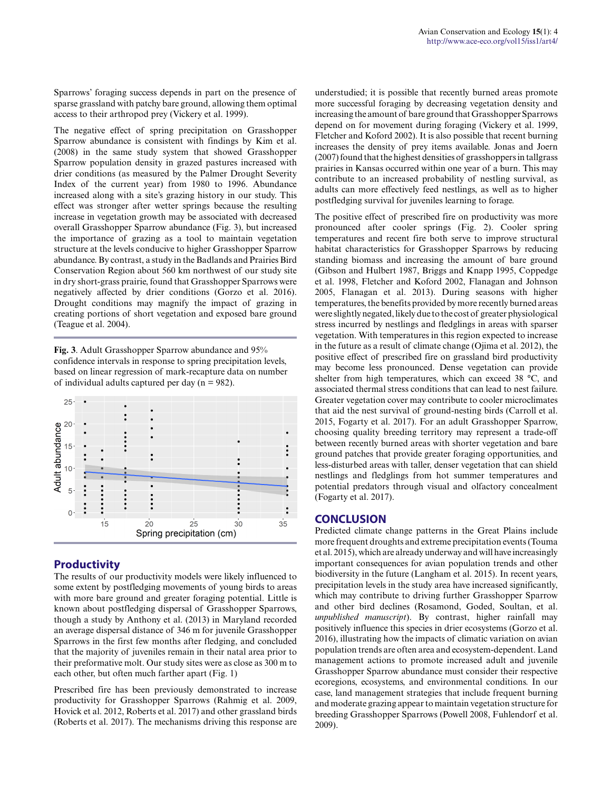Sparrows' foraging success depends in part on the presence of sparse grassland with patchy bare ground, allowing them optimal access to their arthropod prey (Vickery et al. 1999).

The negative effect of spring precipitation on Grasshopper Sparrow abundance is consistent with findings by Kim et al. (2008) in the same study system that showed Grasshopper Sparrow population density in grazed pastures increased with drier conditions (as measured by the Palmer Drought Severity Index of the current year) from 1980 to 1996. Abundance increased along with a site's grazing history in our study. This effect was stronger after wetter springs because the resulting increase in vegetation growth may be associated with decreased overall Grasshopper Sparrow abundance (Fig. 3), but increased the importance of grazing as a tool to maintain vegetation structure at the levels conducive to higher Grasshopper Sparrow abundance. By contrast, a study in the Badlands and Prairies Bird Conservation Region about 560 km northwest of our study site in dry short-grass prairie, found that Grasshopper Sparrows were negatively affected by drier conditions (Gorzo et al. 2016). Drought conditions may magnify the impact of grazing in creating portions of short vegetation and exposed bare ground (Teague et al. 2004).

**Fig. 3**. Adult Grasshopper Sparrow abundance and 95% confidence intervals in response to spring precipitation levels, based on linear regression of mark-recapture data on number of individual adults captured per day ( $n = 982$ ).



## **Productivity**

The results of our productivity models were likely influenced to some extent by postfledging movements of young birds to areas with more bare ground and greater foraging potential. Little is known about postfledging dispersal of Grasshopper Sparrows, though a study by Anthony et al. (2013) in Maryland recorded an average dispersal distance of 346 m for juvenile Grasshopper Sparrows in the first few months after fledging, and concluded that the majority of juveniles remain in their natal area prior to their preformative molt. Our study sites were as close as 300 m to each other, but often much farther apart (Fig. 1)

Prescribed fire has been previously demonstrated to increase productivity for Grasshopper Sparrows (Rahmig et al. 2009, Hovick et al. 2012, Roberts et al. 2017) and other grassland birds (Roberts et al. 2017). The mechanisms driving this response are understudied; it is possible that recently burned areas promote more successful foraging by decreasing vegetation density and increasing the amount of bare ground that Grasshopper Sparrows depend on for movement during foraging (Vickery et al. 1999, Fletcher and Koford 2002). It is also possible that recent burning increases the density of prey items available. Jonas and Joern (2007) found that the highest densities of grasshoppers in tallgrass prairies in Kansas occurred within one year of a burn. This may contribute to an increased probability of nestling survival, as adults can more effectively feed nestlings, as well as to higher postfledging survival for juveniles learning to forage.

The positive effect of prescribed fire on productivity was more pronounced after cooler springs (Fig. 2). Cooler spring temperatures and recent fire both serve to improve structural habitat characteristics for Grasshopper Sparrows by reducing standing biomass and increasing the amount of bare ground (Gibson and Hulbert 1987, Briggs and Knapp 1995, Coppedge et al. 1998, Fletcher and Koford 2002, Flanagan and Johnson 2005, Flanagan et al. 2013). During seasons with higher temperatures, the benefits provided by more recently burned areas were slightly negated, likely due to the cost of greater physiological stress incurred by nestlings and fledglings in areas with sparser vegetation. With temperatures in this region expected to increase in the future as a result of climate change (Ojima et al. 2012), the positive effect of prescribed fire on grassland bird productivity may become less pronounced. Dense vegetation can provide shelter from high temperatures, which can exceed 38 °C, and associated thermal stress conditions that can lead to nest failure. Greater vegetation cover may contribute to cooler microclimates that aid the nest survival of ground-nesting birds (Carroll et al. 2015, Fogarty et al. 2017). For an adult Grasshopper Sparrow, choosing quality breeding territory may represent a trade-off between recently burned areas with shorter vegetation and bare ground patches that provide greater foraging opportunities, and less-disturbed areas with taller, denser vegetation that can shield nestlings and fledglings from hot summer temperatures and potential predators through visual and olfactory concealment (Fogarty et al. 2017).

#### **CONCLUSION**

Predicted climate change patterns in the Great Plains include more frequent droughts and extreme precipitation events (Touma et al. 2015), which are already underway and will have increasingly important consequences for avian population trends and other biodiversity in the future (Langham et al. 2015). In recent years, precipitation levels in the study area have increased significantly, which may contribute to driving further Grasshopper Sparrow and other bird declines (Rosamond, Goded, Soultan, et al. *unpublished manuscript*). By contrast, higher rainfall may positively influence this species in drier ecosystems (Gorzo et al. 2016), illustrating how the impacts of climatic variation on avian population trends are often area and ecosystem-dependent. Land management actions to promote increased adult and juvenile Grasshopper Sparrow abundance must consider their respective ecoregions, ecosystems, and environmental conditions. In our case, land management strategies that include frequent burning and moderate grazing appear to maintain vegetation structure for breeding Grasshopper Sparrows (Powell 2008, Fuhlendorf et al. 2009).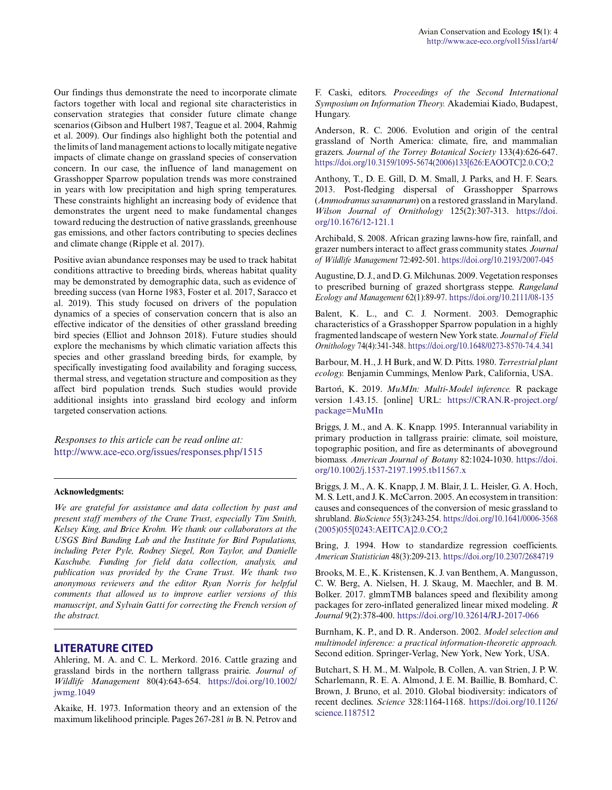Our findings thus demonstrate the need to incorporate climate factors together with local and regional site characteristics in conservation strategies that consider future climate change scenarios (Gibson and Hulbert 1987, Teague et al. 2004, Rahmig et al. 2009). Our findings also highlight both the potential and the limits of land management actions to locally mitigate negative impacts of climate change on grassland species of conservation concern. In our case, the influence of land management on Grasshopper Sparrow population trends was more constrained in years with low precipitation and high spring temperatures. These constraints highlight an increasing body of evidence that demonstrates the urgent need to make fundamental changes toward reducing the destruction of native grasslands, greenhouse gas emissions, and other factors contributing to species declines and climate change (Ripple et al. 2017).

Positive avian abundance responses may be used to track habitat conditions attractive to breeding birds, whereas habitat quality may be demonstrated by demographic data, such as evidence of breeding success (van Horne 1983, Foster et al. 2017, Saracco et al. 2019). This study focused on drivers of the population dynamics of a species of conservation concern that is also an effective indicator of the densities of other grassland breeding bird species (Elliot and Johnson 2018). Future studies should explore the mechanisms by which climatic variation affects this species and other grassland breeding birds, for example, by specifically investigating food availability and foraging success, thermal stress, and vegetation structure and composition as they affect bird population trends. Such studies would provide additional insights into grassland bird ecology and inform targeted conservation actions.

*Responses to this article can be read online at:* <http://www.ace-eco.org/issues/responses.php/1515>

#### **Acknowledgments:**

*We are grateful for assistance and data collection by past and present staff members of the Crane Trust, especially Tim Smith, Kelsey King, and Brice Krohn. We thank our collaborators at the USGS Bird Banding Lab and the Institute for Bird Populations, including Peter Pyle, Rodney Siegel, Ron Taylor, and Danielle Kaschube. Funding for field data collection, analysis, and publication was provided by the Crane Trust. We thank two anonymous reviewers and the editor Ryan Norris for helpful comments that allowed us to improve earlier versions of this manuscript, and Sylvain Gatti for correcting the French version of the abstract.*

#### **LITERATURE CITED**

Ahlering, M. A. and C. L. Merkord. 2016. Cattle grazing and grassland birds in the northern tallgrass prairie. *Journal of Wildlife Management* 80(4):643-654. [https://doi.org/10.1002/](https://doi.org/10.1002/jwmg.1049) [jwmg.1049](https://doi.org/10.1002/jwmg.1049)

Akaike, H. 1973. Information theory and an extension of the maximum likelihood principle. Pages 267-281 *in* B. N. Petrov and F. Caski, editors. *Proceedings of the Second International Symposium on Information Theory.* Akademiai Kiado, Budapest, Hungary.

Anderson, R. C. 2006. Evolution and origin of the central grassland of North America: climate, fire, and mammalian grazers. *Journal of the Torrey Botanical Society* 133(4):626-647. [https://doi.org/10.3159/1095-5674\(2006\)133\[626:EAOOTC\]2.0.CO;2](https://doi.org/10.3159/1095-5674(2006)133[626:EAOOTC]2.0.CO;2) 

Anthony, T., D. E. Gill, D. M. Small, J. Parks, and H. F. Sears. 2013. Post-fledging dispersal of Grasshopper Sparrows (*Ammodramus savannarum*) on a restored grassland in Maryland. *Wilson Journal of Ornithology* 125(2):307-313. [https://doi.](https://doi.org/10.1676/12-121.1) [org/10.1676/12-121.1](https://doi.org/10.1676/12-121.1) 

Archibald, S. 2008. African grazing lawns-how fire, rainfall, and grazer numbers interact to affect grass community states. *Journal of Wildlife Management* 72:492-501. <https://doi.org/10.2193/2007-045>

Augustine, D. J., and D. G. Milchunas. 2009. Vegetation responses to prescribed burning of grazed shortgrass steppe. *Rangeland Ecology and Management* 62(1):89-97.<https://doi.org/10.2111/08-135>

Balent, K. L., and C. J. Norment. 2003. Demographic characteristics of a Grasshopper Sparrow population in a highly fragmented landscape of western New York state. *Journal of Field Ornithology* 74(4):341-348.<https://doi.org/10.1648/0273-8570-74.4.341>

Barbour, M. H., J. H Burk, and W. D. Pitts. 1980. *Terrestrial plant ecology.* Benjamin Cummings, Menlow Park, California, USA.

Bartoń, K. 2019. *MuMIn: Multi-Model inference.* R package version 1.43.15. [online] URL: [https://CRAN.R-project.org/](https://CRAN.R-project.org/package=MuMIn) [package=MuMIn](https://CRAN.R-project.org/package=MuMIn)

Briggs, J. M., and A. K. Knapp. 1995. Interannual variability in primary production in tallgrass prairie: climate, soil moisture, topographic position, and fire as determinants of aboveground biomass. *American Journal of Botany* 82:1024-1030. [https://doi.](https://doi.org/10.1002/j.1537-2197.1995.tb11567.x) [org/10.1002/j.1537-2197.1995.tb11567.x](https://doi.org/10.1002/j.1537-2197.1995.tb11567.x)

Briggs, J. M., A. K. Knapp, J. M. Blair, J. L. Heisler, G. A. Hoch, M. S. Lett, and J. K. McCarron. 2005. An ecosystem in transition: causes and consequences of the conversion of mesic grassland to shrubland. *BioScience* 55(3):243-254. [https://doi.org/10.1641/0006-3568](https://doi.org/10.1641/0006-3568(2005)055[0243:AEITCA]2.0.CO;2) [\(2005\)055\[0243:AEITCA\]2.0.CO;2](https://doi.org/10.1641/0006-3568(2005)055[0243:AEITCA]2.0.CO;2) 

Bring, J. 1994. How to standardize regression coefficients. *American Statistician* 48(3):209-213.<https://doi.org/10.2307/2684719>

Brooks, M. E., K. Kristensen, K. J. van Benthem, A. Mangusson, C. W. Berg, A. Nielsen, H. J. Skaug, M. Maechler, and B. M. Bolker. 2017. glmmTMB balances speed and flexibility among packages for zero-inflated generalized linear mixed modeling. *R Journal* 9(2):378-400.<https://doi.org/10.32614/RJ-2017-066>

Burnham, K. P., and D. R. Anderson. 2002. *Model selection and multimodel inference: a practical information-theoretic approach.* Second edition. Springer-Verlag, New York, New York, USA.

Butchart, S. H. M., M. Walpole, B. Collen, A. van Strien, J. P. W. Scharlemann, R. E. A. Almond, J. E. M. Baillie, B. Bomhard, C. Brown, J. Bruno, et al. 2010. Global biodiversity: indicators of recent declines. *Science* 328:1164-1168. [https://doi.org/10.1126/](https://doi.org/10.1126/science.1187512) [science.1187512](https://doi.org/10.1126/science.1187512)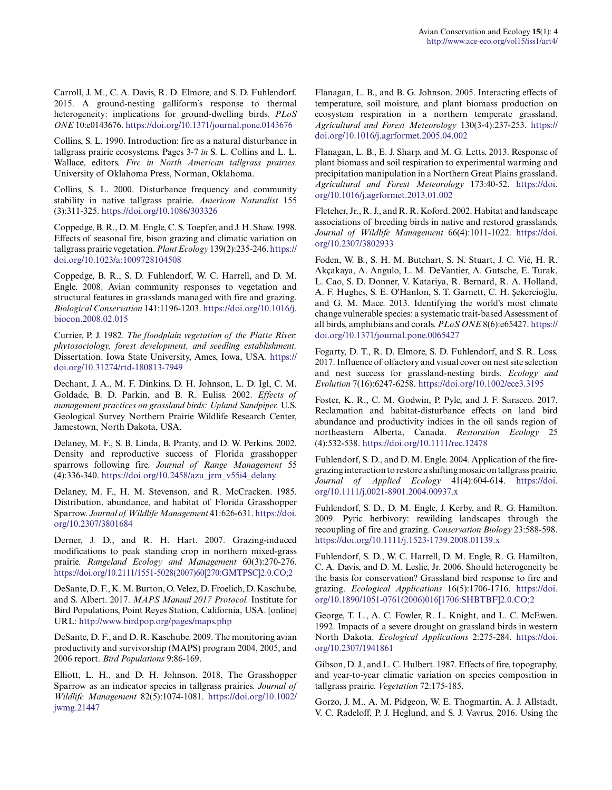Carroll, J. M., C. A. Davis, R. D. Elmore, and S. D. Fuhlendorf. 2015. A ground-nesting galliform's response to thermal heterogeneity: implications for ground-dwelling birds. *PLoS ONE* 10:e0143676. <https://doi.org/10.1371/journal.pone.0143676>

Collins, S. L. 1990. Introduction: fire as a natural disturbance in tallgrass prairie ecosystems. Pages 3-7 *in* S. L. Collins and L. L. Wallace, editors. *Fire in North American tallgrass prairies.* University of Oklahoma Press, Norman, Oklahoma.

Collins, S. L. 2000. Disturbance frequency and community stability in native tallgrass prairie. *American Naturalist* 155 (3):311-325. <https://doi.org/10.1086/303326>

Coppedge, B. R., D. M. Engle, C. S. Toepfer, and J. H. Shaw. 1998. Effects of seasonal fire, bison grazing and climatic variation on tallgrass prairie vegetation. *Plant Ecology* 139(2):235-246. [https://](https://doi.org/10.1023/a:1009728104508) [doi.org/10.1023/a:1009728104508](https://doi.org/10.1023/a:1009728104508)

Coppedge, B. R., S. D. Fuhlendorf, W. C. Harrell, and D. M. Engle. 2008. Avian community responses to vegetation and structural features in grasslands managed with fire and grazing. *Biological Conservation* 141:1196-1203. [https://doi.org/10.1016/j.](https://doi.org/10.1016/j.biocon.2008.02.015) [biocon.2008.02.015](https://doi.org/10.1016/j.biocon.2008.02.015)

Currier, P. J. 1982. *The floodplain vegetation of the Platte River: phytosociology, forest development, and seedling establishment.* Dissertation. Iowa State University, Ames, Iowa, USA. [https://](https://doi.org/10.31274/rtd-180813-7949) [doi.org/10.31274/rtd-180813-7949](https://doi.org/10.31274/rtd-180813-7949) 

Dechant, J. A., M. F. Dinkins, D. H. Johnson, L. D. Igl, C. M. Goldade, B. D. Parkin, and B. R. Euliss. 2002. *Effects of management practices on grassland birds: Upland Sandpiper.* U.S. Geological Survey Northern Prairie Wildlife Research Center, Jamestown, North Dakota, USA.

Delaney, M. F., S. B. Linda, B. Pranty, and D. W. Perkins. 2002. Density and reproductive success of Florida grasshopper sparrows following fire. *Journal of Range Management* 55 (4):336-340. [https://doi.org/10.2458/azu\\_jrm\\_v55i4\\_delany](https://doi.org/10.2458/azu_jrm_v55i4_delany)

Delaney, M. F., H. M. Stevenson, and R. McCracken. 1985. Distribution, abundance, and habitat of Florida Grasshopper Sparrow. *Journal of Wildlife Management* 41:626-631. [https://doi.](https://doi.org/10.2307/3801684) [org/10.2307/3801684](https://doi.org/10.2307/3801684) 

Derner, J. D., and R. H. Hart. 2007. Grazing-induced modifications to peak standing crop in northern mixed-grass prairie. *Rangeland Ecology and Management* 60(3):270-276. [https://doi.org/10.2111/1551-5028\(2007\)60\[270:GMTPSC\]2.0.CO;2](https://doi.org/10.2111/1551-5028(2007)60[270:GMTPSC]2.0.CO;2) 

DeSante, D. F., K. M. Burton, O. Velez, D. Froelich, D. Kaschube, and S. Albert. 2017. *MAPS Manual 2017 Protocol.* Institute for Bird Populations, Point Reyes Station, California, USA. [online] URL:<http://www.birdpop.org/pages/maps.php>

DeSante, D. F., and D. R. Kaschube. 2009. The monitoring avian productivity and survivorship (MAPS) program 2004, 2005, and 2006 report. *Bird Populations* 9:86-169.

Elliott, L. H., and D. H. Johnson. 2018. The Grasshopper Sparrow as an indicator species in tallgrass prairies. *Journal of Wildlife Management* 82(5):1074-1081. [https://doi.org/10.1002/](https://doi.org/10.1002/jwmg.21447) [jwmg.21447](https://doi.org/10.1002/jwmg.21447) 

Flanagan, L. B., and B. G. Johnson. 2005. Interacting effects of temperature, soil moisture, and plant biomass production on ecosystem respiration in a northern temperate grassland. *Agricultural and Forest Meteorology* 130(3-4):237-253. [https://](https://doi.org/10.1016/j.agrformet.2005.04.002) [doi.org/10.1016/j.agrformet.2005.04.002](https://doi.org/10.1016/j.agrformet.2005.04.002) 

Flanagan, L. B., E. J. Sharp, and M. G. Letts. 2013. Response of plant biomass and soil respiration to experimental warming and precipitation manipulation in a Northern Great Plains grassland. *Agricultural and Forest Meteorology* 173:40-52. [https://doi.](https://doi.org/10.1016/j.agrformet.2013.01.002) [org/10.1016/j.agrformet.2013.01.002](https://doi.org/10.1016/j.agrformet.2013.01.002) 

Fletcher, Jr., R. J., and R. R. Koford. 2002. Habitat and landscape associations of breeding birds in native and restored grasslands. *Journal of Wildlife Management* 66(4):1011-1022. [https://doi.](https://doi.org/10.2307/3802933) [org/10.2307/3802933](https://doi.org/10.2307/3802933) 

Foden, W. B., S. H. M. Butchart, S. N. Stuart, J. C. Vié, H. R. Akçakaya, A. Angulo, L. M. DeVantier, A. Gutsche, E. Turak, L. Cao, S. D. Donner, V. Katariya, R. Bernard, R. A. Holland, A. F. Hughes, S. E. O'Hanlon, S. T. Garnett, C. H. Şekercioğlu, and G. M. Mace. 2013. Identifying the world's most climate change vulnerable species: a systematic trait-based Assessment of all birds, amphibians and corals. *PLoS ONE* 8(6):e65427. [https://](https://doi.org/10.1371/journal.pone.0065427) [doi.org/10.1371/journal.pone.0065427](https://doi.org/10.1371/journal.pone.0065427)

Fogarty, D. T., R. D. Elmore, S. D. Fuhlendorf, and S. R. Loss. 2017. Influence of olfactory and visual cover on nest site selection and nest success for grassland-nesting birds. *Ecology and Evolution* 7(16):6247-6258.<https://doi.org/10.1002/ece3.3195>

Foster, K. R., C. M. Godwin, P. Pyle, and J. F. Saracco. 2017. Reclamation and habitat-disturbance effects on land bird abundance and productivity indices in the oil sands region of northeastern Alberta, Canada. *Restoration Ecology* 25 (4):532-538. <https://doi.org/10.1111/rec.12478>

Fuhlendorf, S. D., and D. M. Engle. 2004. Application of the firegrazing interaction to restore a shifting mosaic on tallgrass prairie. *Journal of Applied Ecology* 41(4):604-614. [https://doi.](https://doi.org/10.1111/j.0021-8901.2004.00937.x) [org/10.1111/j.0021-8901.2004.00937.x](https://doi.org/10.1111/j.0021-8901.2004.00937.x)

Fuhlendorf, S. D., D. M. Engle, J. Kerby, and R. G. Hamilton. 2009. Pyric herbivory: rewilding landscapes through the recoupling of fire and grazing. *Conservation Biology* 23:588-598. <https://doi.org/10.1111/j.1523-1739.2008.01139.x>

Fuhlendorf, S. D., W. C. Harrell, D. M. Engle, R. G. Hamilton, C. A. Davis, and D. M. Leslie, Jr. 2006. Should heterogeneity be the basis for conservation? Grassland bird response to fire and grazing. *Ecological Applications* 16(5):1706-1716. [https://doi.](https://doi.org/10.1890/1051-0761(2006)016[1706:SHBTBF]2.0.CO;2) [org/10.1890/1051-0761\(2006\)016\[1706:SHBTBF\]2.0.CO;2](https://doi.org/10.1890/1051-0761(2006)016[1706:SHBTBF]2.0.CO;2) 

George, T. L., A. C. Fowler, R. L. Knight, and L. C. McEwen. 1992. Impacts of a severe drought on grassland birds in western North Dakota. *Ecological Applications* 2:275-284. [https://doi.](https://doi.org/10.2307/1941861) [org/10.2307/1941861](https://doi.org/10.2307/1941861) 

Gibson, D. J., and L. C. Hulbert. 1987. Effects of fire, topography, and year-to-year climatic variation on species composition in tallgrass prairie. *Vegetation* 72:175-185.

Gorzo, J. M., A. M. Pidgeon, W. E. Thogmartin, A. J. Allstadt, V. C. Radeloff, P. J. Heglund, and S. J. Vavrus. 2016. Using the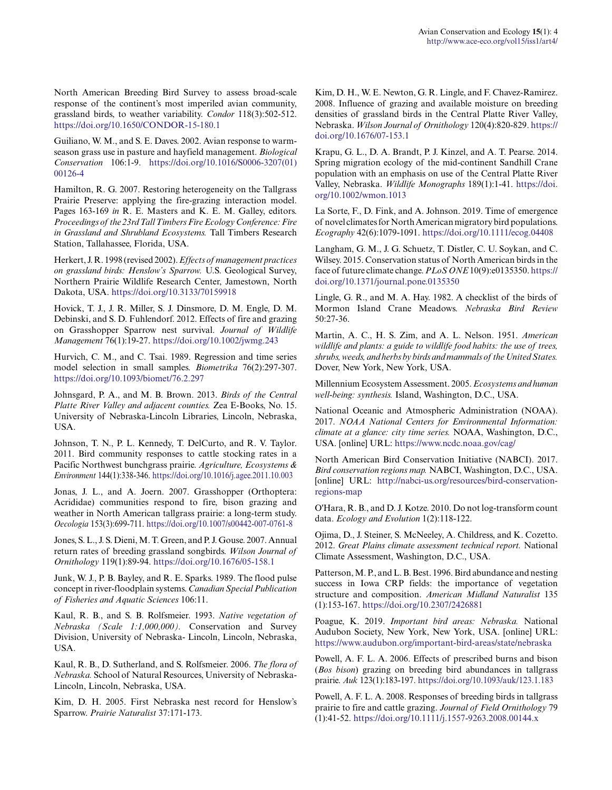North American Breeding Bird Survey to assess broad-scale response of the continent's most imperiled avian community, grassland birds, to weather variability. *Condor* 118(3):502-512. <https://doi.org/10.1650/CONDOR-15-180.1>

Guiliano, W. M., and S. E. Daves. 2002. Avian response to warmseason grass use in pasture and hayfield management. *Biological Conservation* 106:1-9. [https://doi.org/10.1016/S0006-3207\(01\)](https://doi.org/10.1016/S0006-3207(01)00126-4) [00126-4](https://doi.org/10.1016/S0006-3207(01)00126-4) 

Hamilton, R. G. 2007. Restoring heterogeneity on the Tallgrass Prairie Preserve: applying the fire-grazing interaction model. Pages 163-169 *in* R. E. Masters and K. E. M. Galley, editors. *Proceedings of the 23rd Tall Timbers Fire Ecology Conference: Fire in Grassland and Shrubland Ecosystems.* Tall Timbers Research Station, Tallahassee, Florida, USA.

Herkert, J. R. 1998 (revised 2002). *Effects of management practices on grassland birds: Henslow's Sparrow.* U.S. Geological Survey, Northern Prairie Wildlife Research Center, Jamestown, North Dakota, USA. <https://doi.org/10.3133/70159918>

Hovick, T. J., J. R. Miller, S. J. Dinsmore, D. M. Engle, D. M. Debinski, and S. D. Fuhlendorf. 2012. Effects of fire and grazing on Grasshopper Sparrow nest survival. *Journal of Wildlife Management* 76(1):19-27. <https://doi.org/10.1002/jwmg.243>

Hurvich, C. M., and C. Tsai. 1989. Regression and time series model selection in small samples. *Biometrika* 76(2):297-307. <https://doi.org/10.1093/biomet/76.2.297>

Johnsgard, P. A., and M. B. Brown. 2013. *Birds of the Central Platte River Valley and adjacent counties.* Zea E-Books, No. 15. University of Nebraska-Lincoln Libraries, Lincoln, Nebraska, USA.

Johnson, T. N., P. L. Kennedy, T. DelCurto, and R. V. Taylor. 2011. Bird community responses to cattle stocking rates in a Pacific Northwest bunchgrass prairie. *Agriculture, Ecosystems & Environment* 144(1):338-346.<https://doi.org/10.1016/j.agee.2011.10.003>

Jonas, J. L., and A. Joern. 2007. Grasshopper (Orthoptera: Acrididae) communities respond to fire, bison grazing and weather in North American tallgrass prairie: a long-term study. *Oecologia* 153(3):699-711. <https://doi.org/10.1007/s00442-007-0761-8>

Jones, S. L., J. S. Dieni, M. T. Green, and P. J. Gouse. 2007. Annual return rates of breeding grassland songbirds. *Wilson Journal of Ornithology* 119(1):89-94. <https://doi.org/10.1676/05-158.1>

Junk, W. J., P. B. Bayley, and R. E. Sparks. 1989. The flood pulse concept in river-floodplain systems. *Canadian Special Publication of Fisheries and Aquatic Sciences* 106:11.

Kaul, R. B., and S. B. Rolfsmeier. 1993. *Native vegetation of Nebraska (Scale 1:1,000,000).* Conservation and Survey Division, University of Nebraska- Lincoln, Lincoln, Nebraska, USA.

Kaul, R. B., D. Sutherland, and S. Rolfsmeier. 2006. *The flora of Nebraska.* School of Natural Resources, University of Nebraska-Lincoln, Lincoln, Nebraska, USA.

Kim, D. H. 2005. First Nebraska nest record for Henslow's Sparrow. *Prairie Naturalist* 37:171-173.

Kim, D. H., W. E. Newton, G. R. Lingle, and F. Chavez-Ramirez. 2008. Influence of grazing and available moisture on breeding densities of grassland birds in the Central Platte River Valley, Nebraska. *Wilson Journal of Ornithology* 120(4):820-829. [https://](https://doi.org/10.1676/07-153.1) [doi.org/10.1676/07-153.1](https://doi.org/10.1676/07-153.1)

Krapu, G. L., D. A. Brandt, P. J. Kinzel, and A. T. Pearse. 2014. Spring migration ecology of the mid-continent Sandhill Crane population with an emphasis on use of the Central Platte River Valley, Nebraska. *Wildlife Monographs* 189(1):1-41. [https://doi.](https://doi.org/10.1002/wmon.1013) [org/10.1002/wmon.1013](https://doi.org/10.1002/wmon.1013)

La Sorte, F., D. Fink, and A. Johnson. 2019. Time of emergence of novel climates for North American migratory bird populations. *Ecography* 42(6):1079-1091. <https://doi.org/10.1111/ecog.04408>

Langham, G. M., J. G. Schuetz, T. Distler, C. U. Soykan, and C. Wilsey. 2015. Conservation status of North American birds in the face of future climate change. *PLoS ONE* 10(9):e0135350. [https://](https://doi.org/10.1371/journal.pone.0135350) [doi.org/10.1371/journal.pone.0135350](https://doi.org/10.1371/journal.pone.0135350)

Lingle, G. R., and M. A. Hay. 1982. A checklist of the birds of Mormon Island Crane Meadows. *Nebraska Bird Review* 50:27-36.

Martin, A. C., H. S. Zim, and A. L. Nelson. 1951. *American wildlife and plants: a guide to wildlife food habits: the use of trees, shrubs, weeds, and herbs by birds and mammals of the United States.* Dover, New York, New York, USA.

Millennium Ecosystem Assessment. 2005. *Ecosystems and human well-being: synthesis.* Island, Washington, D.C., USA.

National Oceanic and Atmospheric Administration (NOAA). 2017. *NOAA National Centers for Environmental Information: climate at a glance: city time series.* NOAA, Washington, D.C., USA. [online] URL: <https://www.ncdc.noaa.gov/cag/>

North American Bird Conservation Initiative (NABCI). 2017. *Bird conservation regions map.* NABCI, Washington, D.C., USA. [online] URL: [http://nabci-us.org/resources/bird-conservation](http://nabci-us.org/resources/bird-conservation-regions-map)[regions-map](http://nabci-us.org/resources/bird-conservation-regions-map)

O'Hara, R. B., and D. J. Kotze. 2010. Do not log-transform count data. *Ecology and Evolution* 1(2):118-122.

Ojima, D., J. Steiner, S. McNeeley, A. Childress, and K. Cozetto. 2012. *Great Plains climate assessment technical report.* National Climate Assessment, Washington, D.C., USA.

Patterson, M. P., and L. B. Best. 1996. Bird abundance and nesting success in Iowa CRP fields: the importance of vegetation structure and composition. *American Midland Naturalist* 135 (1):153-167. <https://doi.org/10.2307/2426881>

Poague, K. 2019. *Important bird areas: Nebraska.* National Audubon Society, New York, New York, USA. [online] URL: <https://www.audubon.org/important-bird-areas/state/nebraska>

Powell, A. F. L. A. 2006. Effects of prescribed burns and bison (*Bos bison*) grazing on breeding bird abundances in tallgrass prairie. *Auk* 123(1):183-197.<https://doi.org/10.1093/auk/123.1.183>

Powell, A. F. L. A. 2008. Responses of breeding birds in tallgrass prairie to fire and cattle grazing. *Journal of Field Ornithology* 79 (1):41-52. <https://doi.org/10.1111/j.1557-9263.2008.00144.x>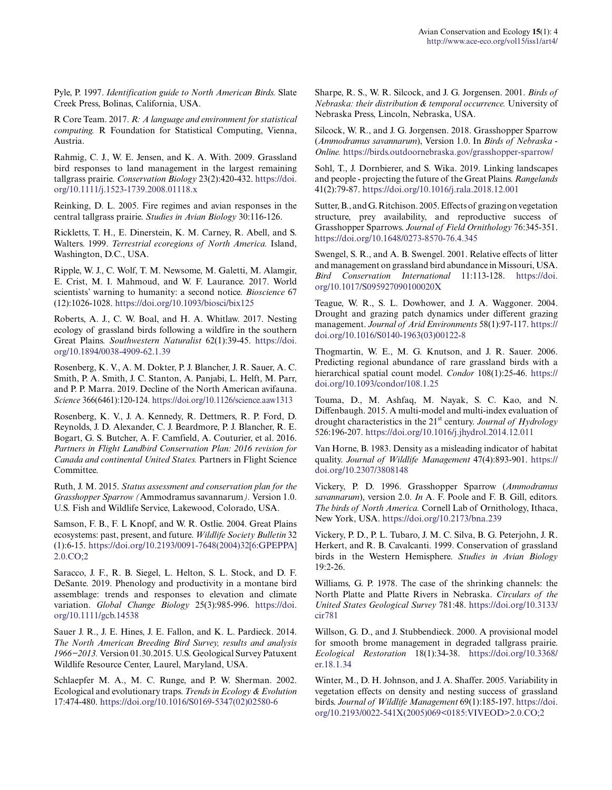Pyle, P. 1997. *Identification guide to North American Birds.* Slate Creek Press, Bolinas, California, USA.

R Core Team. 2017. *R: A language and environment for statistical computing.* R Foundation for Statistical Computing, Vienna, Austria.

Rahmig, C. J., W. E. Jensen, and K. A. With. 2009. Grassland bird responses to land management in the largest remaining tallgrass prairie. *Conservation Biology* 23(2):420-432. [https://doi.](https://doi.org/10.1111/j.1523-1739.2008.01118.x) [org/10.1111/j.1523-1739.2008.01118.x](https://doi.org/10.1111/j.1523-1739.2008.01118.x)

Reinking, D. L. 2005. Fire regimes and avian responses in the central tallgrass prairie. *Studies in Avian Biology* 30:116-126.

Rickletts, T. H., E. Dinerstein, K. M. Carney, R. Abell, and S. Walters. 1999. *Terrestrial ecoregions of North America.* Island, Washington, D.C., USA.

Ripple, W. J., C. Wolf, T. M. Newsome, M. Galetti, M. Alamgir, E. Crist, M. I. Mahmoud, and W. F. Laurance. 2017. World scientists' warning to humanity: a second notice. *Bioscience* 67 (12):1026-1028.<https://doi.org/10.1093/biosci/bix125>

Roberts, A. J., C. W. Boal, and H. A. Whitlaw. 2017. Nesting ecology of grassland birds following a wildfire in the southern Great Plains. *Southwestern Naturalist* 62(1):39-45. [https://doi.](https://doi.org/10.1894/0038-4909-62.1.39) [org/10.1894/0038-4909-62.1.39](https://doi.org/10.1894/0038-4909-62.1.39) 

Rosenberg, K. V., A. M. Dokter, P. J. Blancher, J. R. Sauer, A. C. Smith, P. A. Smith, J. C. Stanton, A. Panjabi, L. Helft, M. Parr, and P. P. Marra. 2019. Decline of the North American avifauna. *Science* 366(6461):120-124.<https://doi.org/10.1126/science.aaw1313>

Rosenberg, K. V., J. A. Kennedy, R. Dettmers, R. P. Ford, D. Reynolds, J. D. Alexander, C. J. Beardmore, P. J. Blancher, R. E. Bogart, G. S. Butcher, A. F. Camfield, A. Couturier, et al. 2016. *Partners in Flight Landbird Conservation Plan: 2016 revision for Canada and continental United States.* Partners in Flight Science Committee.

Ruth, J. M. 2015. *Status assessment and conservation plan for the Grasshopper Sparrow (*Ammodramus savannarum*).* Version 1.0. U.S. Fish and Wildlife Service, Lakewood, Colorado, USA.

Samson, F. B., F. L Knopf, and W. R. Ostlie. 2004. Great Plains ecosystems: past, present, and future. *Wildlife Society Bulletin* 32 (1):6-15. [https://doi.org/10.2193/0091-7648\(2004\)32\[6:GPEPPA\]](https://doi.org/10.2193/0091-7648(2004)32[6:GPEPPA]2.0.CO;2) [2.0.CO;2](https://doi.org/10.2193/0091-7648(2004)32[6:GPEPPA]2.0.CO;2)

Saracco, J. F., R. B. Siegel, L. Helton, S. L. Stock, and D. F. DeSante. 2019. Phenology and productivity in a montane bird assemblage: trends and responses to elevation and climate variation. *Global Change Biology* 25(3):985-996. [https://doi.](https://doi.org/10.1111/gcb.14538) [org/10.1111/gcb.14538](https://doi.org/10.1111/gcb.14538) 

Sauer J. R., J. E. Hines, J. E. Fallon, and K. L. Pardieck. 2014. *The North American Breeding Bird Survey, results and analysis 1966−2013.* Version 01.30.2015. U.S. Geological Survey Patuxent Wildlife Resource Center, Laurel, Maryland, USA.

Schlaepfer M. A., M. C. Runge, and P. W. Sherman. 2002. Ecological and evolutionary traps. *Trends in Ecology & Evolution* 17:474-480. [https://doi.org/10.1016/S0169-5347\(02\)02580-6](https://doi.org/10.1016/S0169-5347(02)02580-6) 

Sharpe, R. S., W. R. Silcock, and J. G. Jorgensen. 2001. *Birds of Nebraska: their distribution & temporal occurrence.* University of Nebraska Press, Lincoln, Nebraska, USA.

Silcock, W. R., and J. G. Jorgensen. 2018. Grasshopper Sparrow (*Ammodramus savannarum*), Version 1.0. In *Birds of Nebraska - Online.* <https://birds.outdoornebraska.gov/grasshopper-sparrow/>

Sohl, T., J. Dornbierer, and S. Wika. 2019. Linking landscapes and people - projecting the future of the Great Plains. *Rangelands* 41(2):79-87. <https://doi.org/10.1016/j.rala.2018.12.001>

Sutter, B., and G. Ritchison. 2005. Effects of grazing on vegetation structure, prey availability, and reproductive success of Grasshopper Sparrows. *Journal of Field Ornithology* 76:345-351. <https://doi.org/10.1648/0273-8570-76.4.345>

Swengel, S. R., and A. B. Swengel. 2001. Relative effects of litter and management on grassland bird abundance in Missouri, USA. *Bird Conservation International* 11:113-128. [https://doi.](https://doi.org/10.1017/S095927090100020X) [org/10.1017/S095927090100020X](https://doi.org/10.1017/S095927090100020X) 

Teague, W. R., S. L. Dowhower, and J. A. Waggoner. 2004. Drought and grazing patch dynamics under different grazing management. *Journal of Arid Environments* 58(1):97-117. [https://](https://doi.org/10.1016/S0140-1963(03)00122-8) [doi.org/10.1016/S0140-1963\(03\)00122-8](https://doi.org/10.1016/S0140-1963(03)00122-8) 

Thogmartin, W. E., M. G. Knutson, and J. R. Sauer. 2006. Predicting regional abundance of rare grassland birds with a hierarchical spatial count model. *Condor* 108(1):25-46. [https://](https://doi.org/10.1093/condor/108.1.25) [doi.org/10.1093/condor/108.1.25](https://doi.org/10.1093/condor/108.1.25) 

Touma, D., M. Ashfaq, M. Nayak, S. C. Kao, and N. Diffenbaugh. 2015. A multi-model and multi-index evaluation of drought characteristics in the 21st century. *Journal of Hydrology* 526:196-207. <https://doi.org/10.1016/j.jhydrol.2014.12.011>

Van Horne, B. 1983. Density as a misleading indicator of habitat quality. *Journal of Wildlife Management* 47(4):893-901. [https://](https://doi.org/10.2307/3808148) [doi.org/10.2307/3808148](https://doi.org/10.2307/3808148) 

Vickery, P. D. 1996. Grasshopper Sparrow (*Ammodramus savannarum*), version 2.0. *In* A. F. Poole and F. B. Gill, editors. *The birds of North America.* Cornell Lab of Ornithology, Ithaca, New York, USA. <https://doi.org/10.2173/bna.239>

Vickery, P. D., P. L. Tubaro, J. M. C. Silva, B. G. Peterjohn, J. R. Herkert, and R. B. Cavalcanti. 1999. Conservation of grassland birds in the Western Hemisphere. *Studies in Avian Biology* 19:2-26.

Williams, G. P. 1978. The case of the shrinking channels: the North Platte and Platte Rivers in Nebraska. *Circulars of the United States Geological Survey* 781:48. [https://doi.org/10.3133/](https://doi.org/10.3133/cir781) [cir781](https://doi.org/10.3133/cir781)

Willson, G. D., and J. Stubbendieck. 2000. A provisional model for smooth brome management in degraded tallgrass prairie. *Ecological Restoration* 18(1):34-38. [https://doi.org/10.3368/](https://doi.org/10.3368/er.18.1.34) [er.18.1.34](https://doi.org/10.3368/er.18.1.34) 

Winter, M., D. H. Johnson, and J. A. Shaffer. 2005. Variability in vegetation effects on density and nesting success of grassland birds. *Journal of Wildlife Management* 69(1):185-197. [https://doi.](https://doi.org/10.2193/0022-541X(2005)069<0185:VIVEOD>2.0.CO;2) [org/10.2193/0022-541X\(2005\)069<0185:VIVEOD>2.0.CO;2](https://doi.org/10.2193/0022-541X(2005)069<0185:VIVEOD>2.0.CO;2)